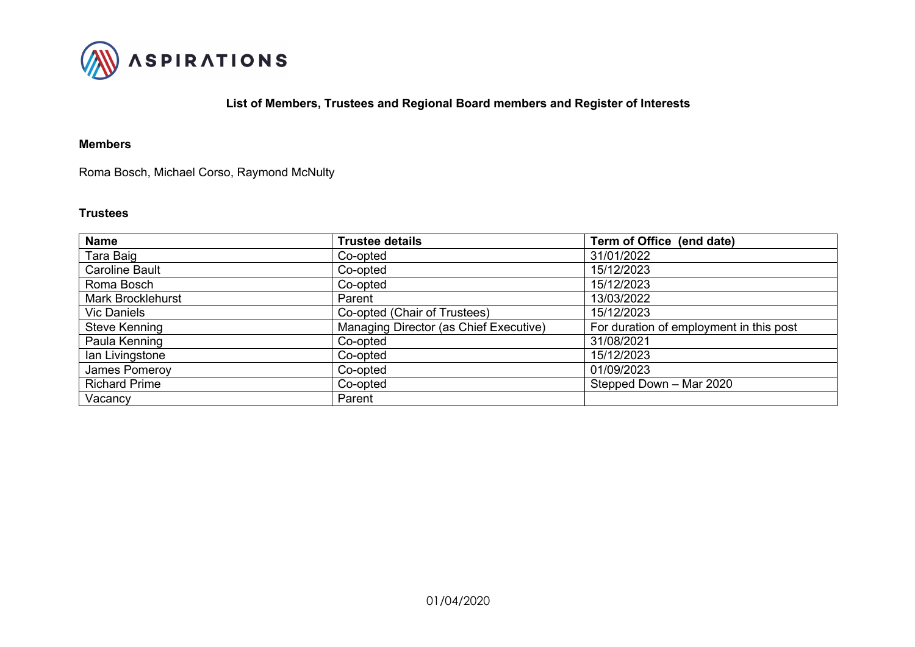

#### **List of Members, Trustees and Regional Board members and Register of Interests**

#### **Members**

Roma Bosch, Michael Corso, Raymond McNulty

#### **Trustees**

| <b>Name</b>           | <b>Trustee details</b>                 | Term of Office (end date)               |
|-----------------------|----------------------------------------|-----------------------------------------|
| Tara Baig             | Co-opted                               | 31/01/2022                              |
| <b>Caroline Bault</b> | Co-opted                               | 15/12/2023                              |
| Roma Bosch            | Co-opted                               | 15/12/2023                              |
| Mark Brocklehurst     | Parent                                 | 13/03/2022                              |
| <b>Vic Daniels</b>    | Co-opted (Chair of Trustees)           | 15/12/2023                              |
| <b>Steve Kenning</b>  | Managing Director (as Chief Executive) | For duration of employment in this post |
| Paula Kenning         | Co-opted                               | 31/08/2021                              |
| lan Livingstone       | Co-opted                               | 15/12/2023                              |
| James Pomeroy         | Co-opted                               | 01/09/2023                              |
| <b>Richard Prime</b>  | Co-opted                               | Stepped Down - Mar 2020                 |
| Vacancy               | Parent                                 |                                         |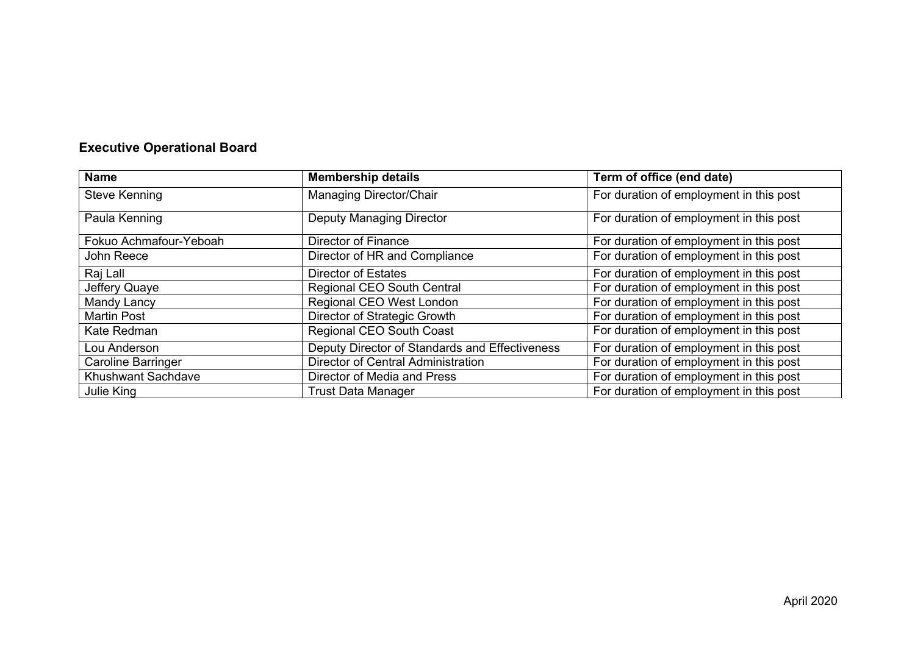# **Executive Operational Board**

| <b>Name</b>            | <b>Membership details</b>                      | Term of office (end date)               |
|------------------------|------------------------------------------------|-----------------------------------------|
| <b>Steve Kenning</b>   | Managing Director/Chair                        | For duration of employment in this post |
| Paula Kenning          | <b>Deputy Managing Director</b>                | For duration of employment in this post |
| Fokuo Achmafour-Yeboah | Director of Finance                            | For duration of employment in this post |
| John Reece             | Director of HR and Compliance                  | For duration of employment in this post |
| Raj Lall               | <b>Director of Estates</b>                     | For duration of employment in this post |
| Jeffery Quaye          | <b>Regional CEO South Central</b>              | For duration of employment in this post |
| Mandy Lancy            | Regional CEO West London                       | For duration of employment in this post |
| <b>Martin Post</b>     | Director of Strategic Growth                   | For duration of employment in this post |
| Kate Redman            | Regional CEO South Coast                       | For duration of employment in this post |
| Lou Anderson           | Deputy Director of Standards and Effectiveness | For duration of employment in this post |
| Caroline Barringer     | <b>Director of Central Administration</b>      | For duration of employment in this post |
| Khushwant Sachdave     | Director of Media and Press                    | For duration of employment in this post |
| Julie King             | <b>Trust Data Manager</b>                      | For duration of employment in this post |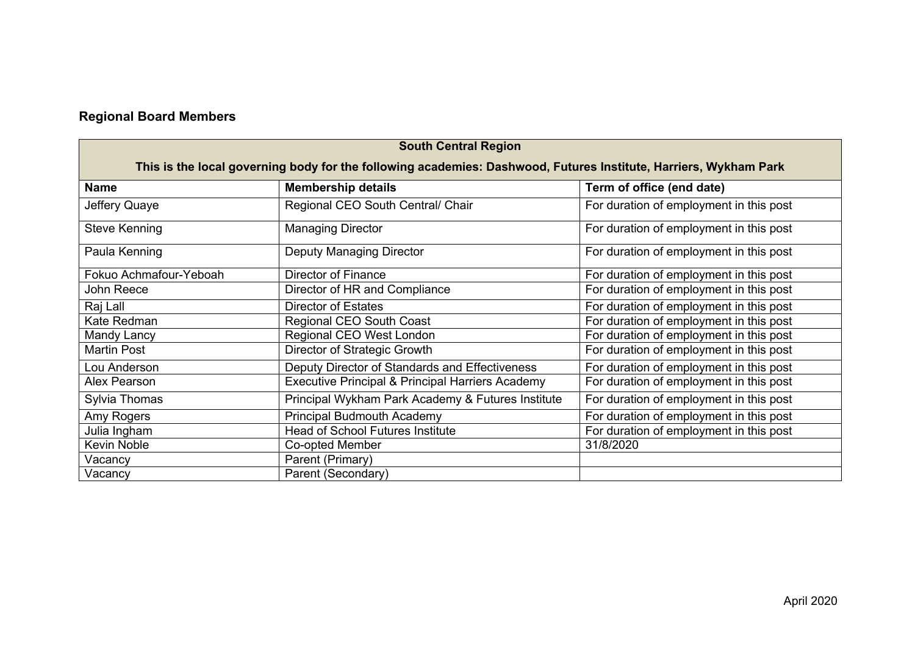# **Regional Board Members**

| <b>South Central Region</b>                                                                                      |                                                                                    |                                         |  |  |  |
|------------------------------------------------------------------------------------------------------------------|------------------------------------------------------------------------------------|-----------------------------------------|--|--|--|
| This is the local governing body for the following academies: Dashwood, Futures Institute, Harriers, Wykham Park |                                                                                    |                                         |  |  |  |
| <b>Name</b>                                                                                                      | <b>Membership details</b>                                                          | Term of office (end date)               |  |  |  |
| Jeffery Quaye                                                                                                    | Regional CEO South Central/ Chair                                                  | For duration of employment in this post |  |  |  |
| Steve Kenning                                                                                                    | <b>Managing Director</b>                                                           | For duration of employment in this post |  |  |  |
| Paula Kenning                                                                                                    | <b>Deputy Managing Director</b>                                                    | For duration of employment in this post |  |  |  |
| Fokuo Achmafour-Yeboah                                                                                           | Director of Finance                                                                | For duration of employment in this post |  |  |  |
| John Reece                                                                                                       | Director of HR and Compliance<br>For duration of employment in this post           |                                         |  |  |  |
| Raj Lall                                                                                                         | <b>Director of Estates</b>                                                         | For duration of employment in this post |  |  |  |
| Kate Redman                                                                                                      | Regional CEO South Coast                                                           | For duration of employment in this post |  |  |  |
| Mandy Lancy                                                                                                      | Regional CEO West London                                                           | For duration of employment in this post |  |  |  |
| <b>Martin Post</b>                                                                                               | Director of Strategic Growth                                                       | For duration of employment in this post |  |  |  |
| Lou Anderson                                                                                                     | Deputy Director of Standards and Effectiveness                                     | For duration of employment in this post |  |  |  |
| Alex Pearson                                                                                                     | Executive Principal & Principal Harriers Academy                                   | For duration of employment in this post |  |  |  |
| Sylvia Thomas                                                                                                    | Principal Wykham Park Academy & Futures Institute                                  | For duration of employment in this post |  |  |  |
| Amy Rogers                                                                                                       | <b>Principal Budmouth Academy</b><br>For duration of employment in this post       |                                         |  |  |  |
| Julia Ingham                                                                                                     | <b>Head of School Futures Institute</b><br>For duration of employment in this post |                                         |  |  |  |
| Kevin Noble                                                                                                      | Co-opted Member                                                                    | 31/8/2020                               |  |  |  |
| Vacancy                                                                                                          | Parent (Primary)                                                                   |                                         |  |  |  |
| Vacancy                                                                                                          | Parent (Secondary)                                                                 |                                         |  |  |  |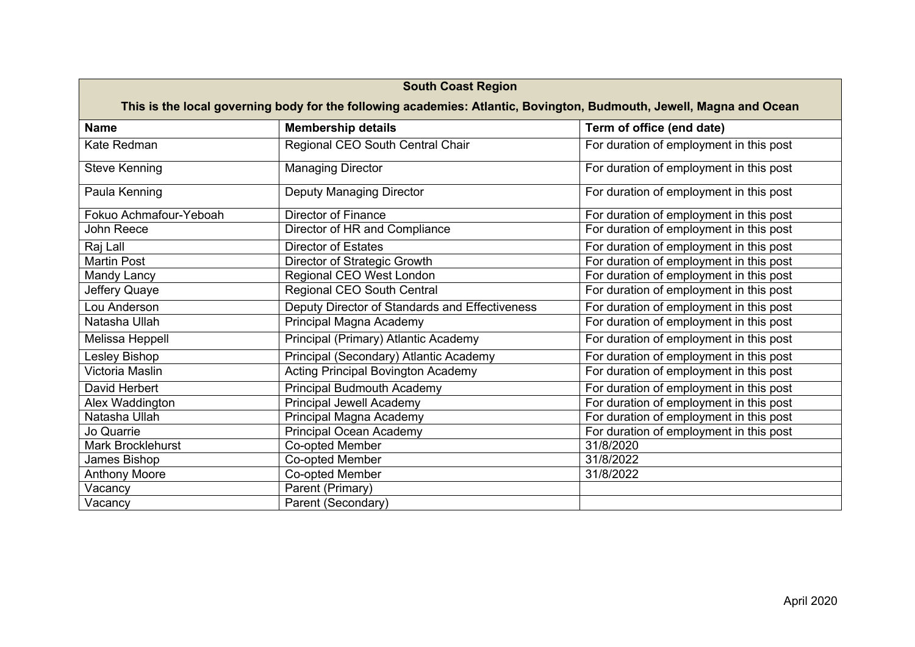| <b>South Coast Region</b>                                                                                            |                                                                              |                                         |  |  |
|----------------------------------------------------------------------------------------------------------------------|------------------------------------------------------------------------------|-----------------------------------------|--|--|
| This is the local governing body for the following academies: Atlantic, Bovington, Budmouth, Jewell, Magna and Ocean |                                                                              |                                         |  |  |
| <b>Name</b>                                                                                                          | <b>Membership details</b>                                                    | Term of office (end date)               |  |  |
| Kate Redman                                                                                                          | Regional CEO South Central Chair                                             | For duration of employment in this post |  |  |
| <b>Steve Kenning</b>                                                                                                 | <b>Managing Director</b>                                                     | For duration of employment in this post |  |  |
| Paula Kenning                                                                                                        | Deputy Managing Director                                                     | For duration of employment in this post |  |  |
| Fokuo Achmafour-Yeboah                                                                                               | <b>Director of Finance</b>                                                   | For duration of employment in this post |  |  |
| John Reece                                                                                                           | Director of HR and Compliance                                                | For duration of employment in this post |  |  |
| Raj Lall                                                                                                             | <b>Director of Estates</b>                                                   | For duration of employment in this post |  |  |
| <b>Martin Post</b>                                                                                                   | Director of Strategic Growth                                                 | For duration of employment in this post |  |  |
| Mandy Lancy                                                                                                          | Regional CEO West London<br>For duration of employment in this post          |                                         |  |  |
| Jeffery Quaye                                                                                                        | For duration of employment in this post<br><b>Regional CEO South Central</b> |                                         |  |  |
| Lou Anderson                                                                                                         | Deputy Director of Standards and Effectiveness                               | For duration of employment in this post |  |  |
| Natasha Ullah                                                                                                        | Principal Magna Academy                                                      | For duration of employment in this post |  |  |
| Melissa Heppell                                                                                                      | Principal (Primary) Atlantic Academy                                         | For duration of employment in this post |  |  |
| Lesley Bishop                                                                                                        | Principal (Secondary) Atlantic Academy                                       | For duration of employment in this post |  |  |
| Victoria Maslin                                                                                                      | <b>Acting Principal Bovington Academy</b>                                    | For duration of employment in this post |  |  |
| David Herbert                                                                                                        | <b>Principal Budmouth Academy</b>                                            | For duration of employment in this post |  |  |
| Alex Waddington                                                                                                      | Principal Jewell Academy                                                     | For duration of employment in this post |  |  |
| Natasha Ullah                                                                                                        | Principal Magna Academy                                                      | For duration of employment in this post |  |  |
| Jo Quarrie                                                                                                           | Principal Ocean Academy<br>For duration of employment in this post           |                                         |  |  |
| <b>Mark Brocklehurst</b>                                                                                             | Co-opted Member                                                              | 31/8/2020                               |  |  |
| James Bishop                                                                                                         | Co-opted Member                                                              | 31/8/2022                               |  |  |
| <b>Anthony Moore</b>                                                                                                 | Co-opted Member                                                              | 31/8/2022                               |  |  |
| Vacancy                                                                                                              | Parent (Primary)                                                             |                                         |  |  |
| Vacancy                                                                                                              | Parent (Secondary)                                                           |                                         |  |  |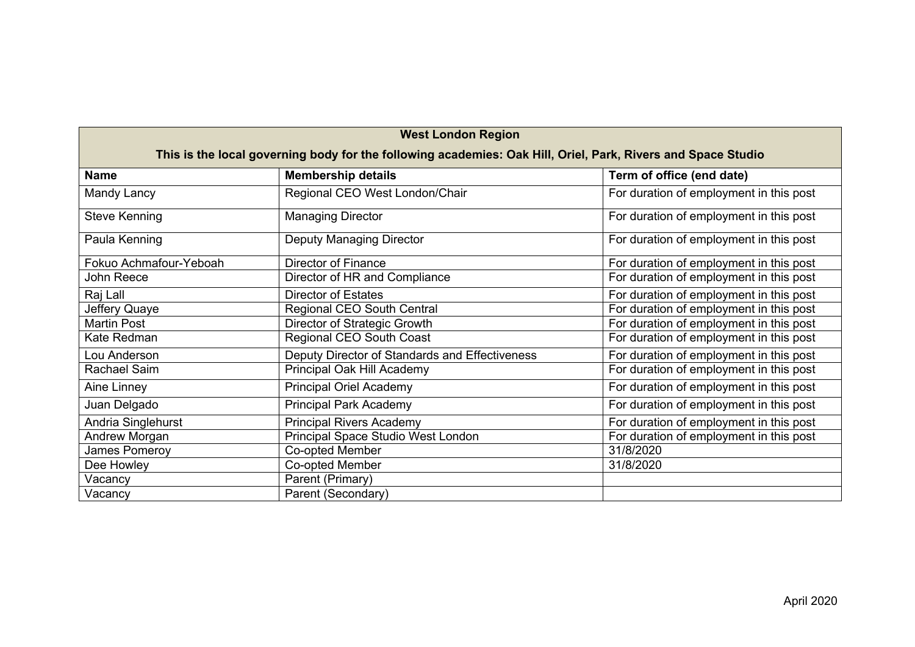| <b>West London Region</b>                                                                                    |                                                |                                         |  |  |
|--------------------------------------------------------------------------------------------------------------|------------------------------------------------|-----------------------------------------|--|--|
| This is the local governing body for the following academies: Oak Hill, Oriel, Park, Rivers and Space Studio |                                                |                                         |  |  |
| <b>Name</b>                                                                                                  | <b>Membership details</b>                      | Term of office (end date)               |  |  |
| Mandy Lancy                                                                                                  | Regional CEO West London/Chair                 | For duration of employment in this post |  |  |
| <b>Steve Kenning</b>                                                                                         | <b>Managing Director</b>                       | For duration of employment in this post |  |  |
| Paula Kenning                                                                                                | Deputy Managing Director                       | For duration of employment in this post |  |  |
| Fokuo Achmafour-Yeboah                                                                                       | <b>Director of Finance</b>                     | For duration of employment in this post |  |  |
| John Reece                                                                                                   | Director of HR and Compliance                  | For duration of employment in this post |  |  |
| Raj Lall                                                                                                     | <b>Director of Estates</b>                     | For duration of employment in this post |  |  |
| Jeffery Quaye                                                                                                | <b>Regional CEO South Central</b>              | For duration of employment in this post |  |  |
| <b>Martin Post</b>                                                                                           | Director of Strategic Growth                   | For duration of employment in this post |  |  |
| Kate Redman                                                                                                  | Regional CEO South Coast                       | For duration of employment in this post |  |  |
| Lou Anderson                                                                                                 | Deputy Director of Standards and Effectiveness | For duration of employment in this post |  |  |
| Rachael Saim                                                                                                 | Principal Oak Hill Academy                     | For duration of employment in this post |  |  |
| Aine Linney                                                                                                  | Principal Oriel Academy                        | For duration of employment in this post |  |  |
| Juan Delgado                                                                                                 | <b>Principal Park Academy</b>                  | For duration of employment in this post |  |  |
| Andria Singlehurst                                                                                           | <b>Principal Rivers Academy</b>                | For duration of employment in this post |  |  |
| Andrew Morgan                                                                                                | Principal Space Studio West London             | For duration of employment in this post |  |  |
| James Pomeroy                                                                                                | Co-opted Member                                | 31/8/2020                               |  |  |
| Dee Howley                                                                                                   | Co-opted Member                                | 31/8/2020                               |  |  |
| Vacancy                                                                                                      | Parent (Primary)                               |                                         |  |  |
| Vacancy                                                                                                      | Parent (Secondary)                             |                                         |  |  |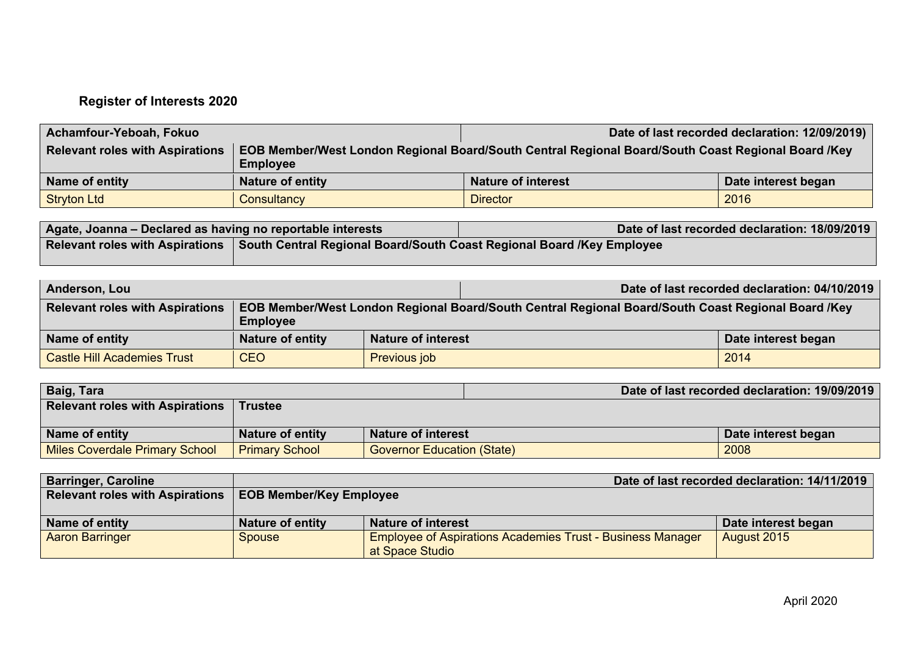# **Register of Interests 2020**

| Achamfour-Yeboah, Fokuo                |                                                                                                                       |                           | Date of last recorded declaration: 12/09/2019) |
|----------------------------------------|-----------------------------------------------------------------------------------------------------------------------|---------------------------|------------------------------------------------|
| <b>Relevant roles with Aspirations</b> | EOB Member/West London Regional Board/South Central Regional Board/South Coast Regional Board /Key<br><b>Employee</b> |                           |                                                |
| Name of entity                         | Nature of entity                                                                                                      | <b>Nature of interest</b> | Date interest began                            |
| <b>Stryton Ltd</b>                     | Consultancy                                                                                                           | <b>Director</b>           | 2016                                           |

| Agate, Joanna - Declared as having no reportable interests |                                                                                                         | Date of last recorded declaration: 18/09/2019 |
|------------------------------------------------------------|---------------------------------------------------------------------------------------------------------|-----------------------------------------------|
|                                                            | Relevant roles with Aspirations   South Central Regional Board/South Coast Regional Board /Key Employee |                                               |

| Anderson, Lou                          |                         |                           |                                                                                                    | Date of last recorded declaration: 04/10/2019 |
|----------------------------------------|-------------------------|---------------------------|----------------------------------------------------------------------------------------------------|-----------------------------------------------|
| <b>Relevant roles with Aspirations</b> | Employee                |                           | EOB Member/West London Regional Board/South Central Regional Board/South Coast Regional Board /Key |                                               |
| Name of entity                         | <b>Nature of entity</b> | <b>Nature of interest</b> |                                                                                                    | Date interest began                           |
| <b>Castle Hill Academies Trust</b>     | <b>CEO</b>              | <b>Previous job</b>       |                                                                                                    | 2014                                          |

| <b>Baig, Tara</b>                      |                         |                                   | Date of last recorded declaration: 19/09/2019 |                     |
|----------------------------------------|-------------------------|-----------------------------------|-----------------------------------------------|---------------------|
| <b>Relevant roles with Aspirations</b> | Trustee                 |                                   |                                               |                     |
|                                        |                         |                                   |                                               |                     |
| Name of entity                         | <b>Nature of entity</b> | <b>Nature of interest</b>         |                                               | Date interest began |
| <b>Miles Coverdale Primary School</b>  | <b>Primary School</b>   | <b>Governor Education (State)</b> |                                               | 2008                |

| <b>Barringer, Caroline</b>             |                                |                                                                                      | Date of last recorded declaration: 14/11/2019 |
|----------------------------------------|--------------------------------|--------------------------------------------------------------------------------------|-----------------------------------------------|
| <b>Relevant roles with Aspirations</b> | <b>EOB Member/Key Employee</b> |                                                                                      |                                               |
|                                        |                                |                                                                                      |                                               |
| Name of entity                         | Nature of entity               | <b>Nature of interest</b>                                                            | Date interest began                           |
| <b>Aaron Barringer</b>                 | <b>Spouse</b>                  | <b>Employee of Aspirations Academies Trust - Business Manager</b><br>at Space Studio | August 2015                                   |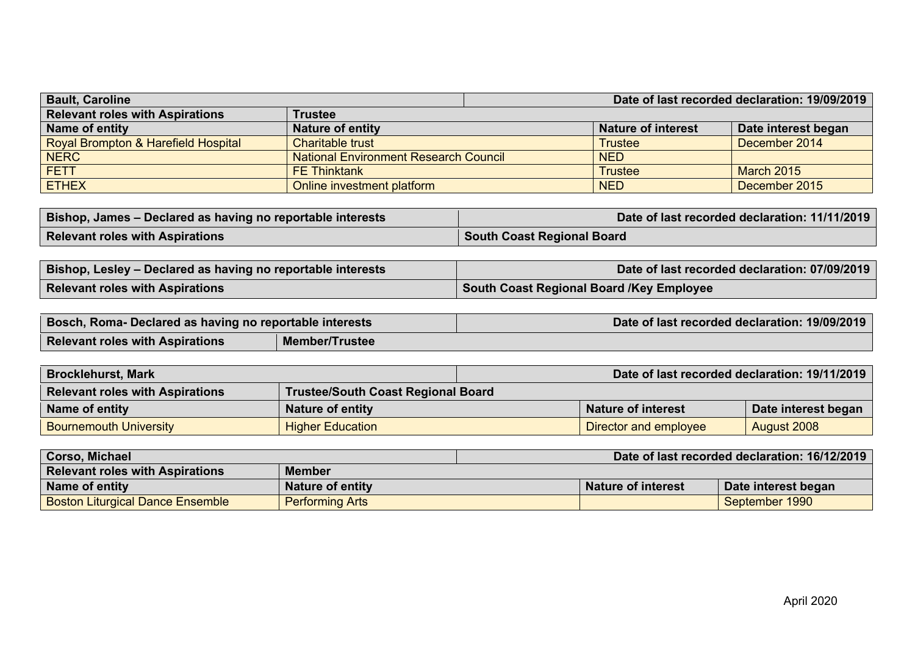| <b>Bault, Caroline</b>                 |                                              |                           | Date of last recorded declaration: 19/09/2019 |
|----------------------------------------|----------------------------------------------|---------------------------|-----------------------------------------------|
| <b>Relevant roles with Aspirations</b> | <b>Trustee</b>                               |                           |                                               |
| Name of entity                         | Nature of entity                             | <b>Nature of interest</b> | Date interest began                           |
| Royal Brompton & Harefield Hospital    | Charitable trust                             | <b>Trustee</b>            | December 2014                                 |
| <b>NERC</b>                            | <b>National Environment Research Council</b> | <b>NED</b>                |                                               |
| <b>FETT</b>                            | <b>FE Thinktank</b>                          | <b>Trustee</b>            | <b>March 2015</b>                             |
| <b>ETHEX</b>                           | Online investment platform                   | <b>NED</b>                | December 2015                                 |

| Bishop, James – Declared as having no reportable interests | Date of last recorded declaration: 11/11/2019 |
|------------------------------------------------------------|-----------------------------------------------|
| <b>Relevant roles with Aspirations</b>                     | South Coast Regional Board                    |

| Bishop, Lesley – Declared as having no reportable interests | Date of last recorded declaration: 07/09/2019 |
|-------------------------------------------------------------|-----------------------------------------------|
| <b>Relevant roles with Aspirations</b>                      | South Coast Regional Board /Key Employee      |

| Bosch, Roma- Declared as having no reportable interests |                       | Date of last recorded declaration: 19/09/2019 |
|---------------------------------------------------------|-----------------------|-----------------------------------------------|
| <b>Relevant roles with Aspirations</b>                  | <b>Member/Trustee</b> |                                               |

| <b>Brocklehurst, Mark</b>              |                                           |  | Date of last recorded declaration: 19/11/2019 |                     |
|----------------------------------------|-------------------------------------------|--|-----------------------------------------------|---------------------|
| <b>Relevant roles with Aspirations</b> | <b>Trustee/South Coast Regional Board</b> |  |                                               |                     |
| Name of entity                         | <b>Nature of entity</b>                   |  | <b>Nature of interest</b>                     | Date interest began |
| <b>Bournemouth University</b>          | <b>Higher Education</b>                   |  | Director and employee                         | August 2008         |

| Corso, Michael                          |                         |  | Date of last recorded declaration: 16/12/2019 |                     |
|-----------------------------------------|-------------------------|--|-----------------------------------------------|---------------------|
| <b>Relevant roles with Aspirations</b>  | <b>Member</b>           |  |                                               |                     |
| Name of entity                          | <b>Nature of entity</b> |  | <b>Nature of interest</b>                     | Date interest began |
| <b>Boston Liturgical Dance Ensemble</b> | <b>Performing Arts</b>  |  |                                               | September 1990      |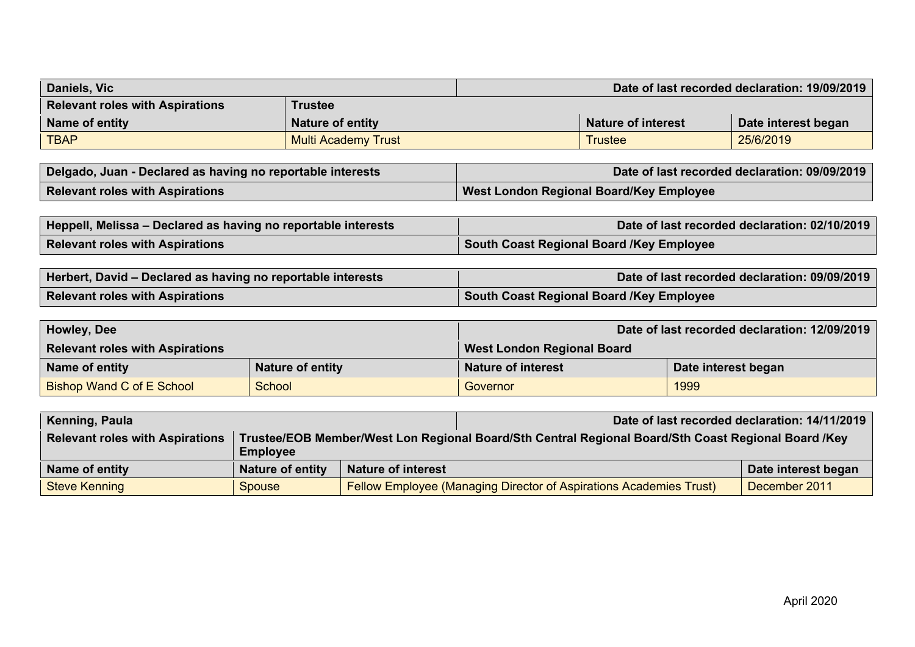| Daniels, Vic                                                                |                            | Date of last recorded declaration: 19/09/2019 |                                                 |                                               |
|-----------------------------------------------------------------------------|----------------------------|-----------------------------------------------|-------------------------------------------------|-----------------------------------------------|
| <b>Relevant roles with Aspirations</b>                                      | <b>Trustee</b>             |                                               |                                                 |                                               |
| Name of entity                                                              | <b>Nature of entity</b>    |                                               | <b>Nature of interest</b>                       | Date interest began                           |
| <b>TBAP</b>                                                                 | <b>Multi Academy Trust</b> |                                               | <b>Trustee</b>                                  | 25/6/2019                                     |
|                                                                             |                            |                                               |                                                 |                                               |
| Delgado, Juan - Declared as having no reportable interests                  |                            |                                               |                                                 | Date of last recorded declaration: 09/09/2019 |
| <b>Relevant roles with Aspirations</b>                                      |                            |                                               | <b>West London Regional Board/Key Employee</b>  |                                               |
|                                                                             |                            |                                               |                                                 |                                               |
| Heppell, Melissa - Declared as having no reportable interests               |                            |                                               |                                                 | Date of last recorded declaration: 02/10/2019 |
| <b>Relevant roles with Aspirations</b>                                      |                            |                                               | <b>South Coast Regional Board /Key Employee</b> |                                               |
|                                                                             |                            |                                               |                                                 |                                               |
| Herbert, David - Declared as having no reportable interests                 |                            |                                               |                                                 | Date of last recorded declaration: 09/09/2019 |
| <b>Relevant roles with Aspirations</b>                                      |                            |                                               | <b>South Coast Regional Board /Key Employee</b> |                                               |
|                                                                             |                            |                                               |                                                 |                                               |
| Howley, Dee                                                                 |                            | Date of last recorded declaration: 12/09/2019 |                                                 |                                               |
| <b>West London Regional Board</b><br><b>Relevant roles with Aspirations</b> |                            |                                               |                                                 |                                               |
| Name of entity                                                              | <b>Nature of entity</b>    | <b>Nature of interest</b>                     |                                                 | Date interest began                           |

| Kenning, Paula                         |                                                                                                                        |                           |                                                                    | Date of last recorded declaration: 14/11/2019 |                     |
|----------------------------------------|------------------------------------------------------------------------------------------------------------------------|---------------------------|--------------------------------------------------------------------|-----------------------------------------------|---------------------|
| <b>Relevant roles with Aspirations</b> | Trustee/EOB Member/West Lon Regional Board/Sth Central Regional Board/Sth Coast Regional Board /Key<br><b>Employee</b> |                           |                                                                    |                                               |                     |
| Name of entity                         | <b>Nature of entity</b>                                                                                                | <b>Nature of interest</b> |                                                                    |                                               | Date interest began |
| <b>Steve Kenning</b>                   | <b>Spouse</b>                                                                                                          |                           | Fellow Employee (Managing Director of Aspirations Academies Trust) |                                               | December 2011       |

Bishop Wand C of E School School School School School Governor Contract of The School School School School School School School School School School School School School School School School School School School School Sch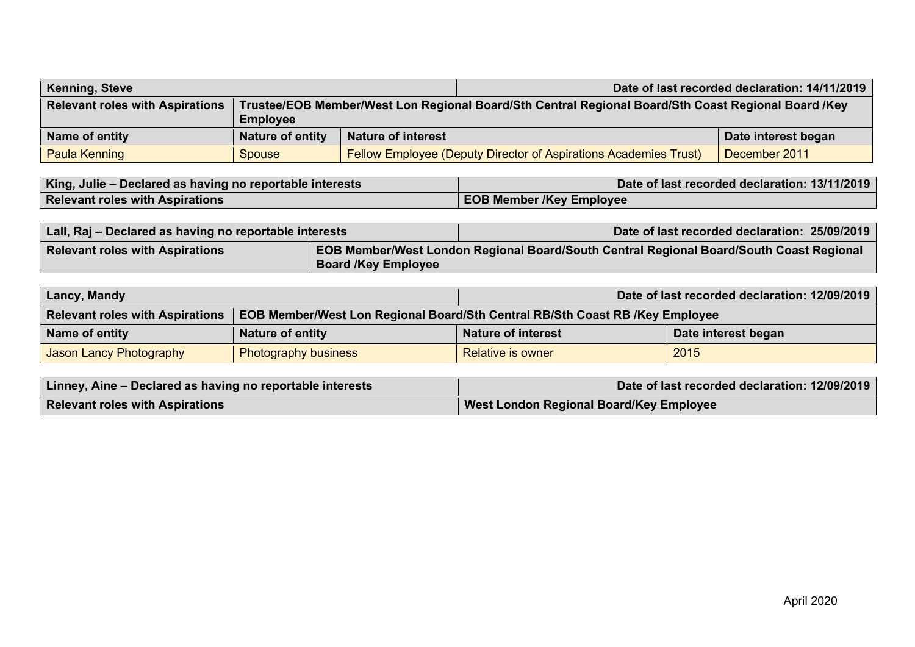| <b>Kenning, Steve</b>                  |                                                                                                                        |                           | Date of last recorded declaration: 14/11/2019                    |                     |
|----------------------------------------|------------------------------------------------------------------------------------------------------------------------|---------------------------|------------------------------------------------------------------|---------------------|
| <b>Relevant roles with Aspirations</b> | Trustee/EOB Member/West Lon Regional Board/Sth Central Regional Board/Sth Coast Regional Board /Key<br><b>Employee</b> |                           |                                                                  |                     |
| Name of entity                         | <b>Nature of entity</b>                                                                                                | <b>Nature of interest</b> |                                                                  | Date interest began |
| <b>Paula Kenning</b>                   | <b>Spouse</b>                                                                                                          |                           | Fellow Employee (Deputy Director of Aspirations Academies Trust) | December 2011       |

| King, Julie - Declared as having no reportable interests | Date of last recorded declaration: 13/11/2019 |
|----------------------------------------------------------|-----------------------------------------------|
| <b>Relevant roles with Aspirations</b>                   | <b>EOB Member /Key Employee</b>               |

| Lall, Raj – Declared as having no reportable interests |                            | Date of last recorded declaration: 25/09/2019                                           |
|--------------------------------------------------------|----------------------------|-----------------------------------------------------------------------------------------|
| <b>Relevant roles with Aspirations</b>                 | <b>Board /Key Employee</b> | EOB Member/West London Regional Board/South Central Regional Board/South Coast Regional |

| Lancy, Mandy                           |                                                                              |                           | Date of last recorded declaration: 12/09/2019 |
|----------------------------------------|------------------------------------------------------------------------------|---------------------------|-----------------------------------------------|
| <b>Relevant roles with Aspirations</b> | EOB Member/West Lon Regional Board/Sth Central RB/Sth Coast RB /Key Employee |                           |                                               |
| Name of entity                         | <b>Nature of entity</b>                                                      | <b>Nature of interest</b> | Date interest began                           |
| Jason Lancy Photography                | <b>Photography business</b>                                                  | <b>Relative is owner</b>  | 2015                                          |

| Linney, Aine - Declared as having no reportable interests | Date of last recorded declaration: 12/09/2019 |
|-----------------------------------------------------------|-----------------------------------------------|
| <b>Relevant roles with Aspirations</b>                    | West London Regional Board/Key Employee       |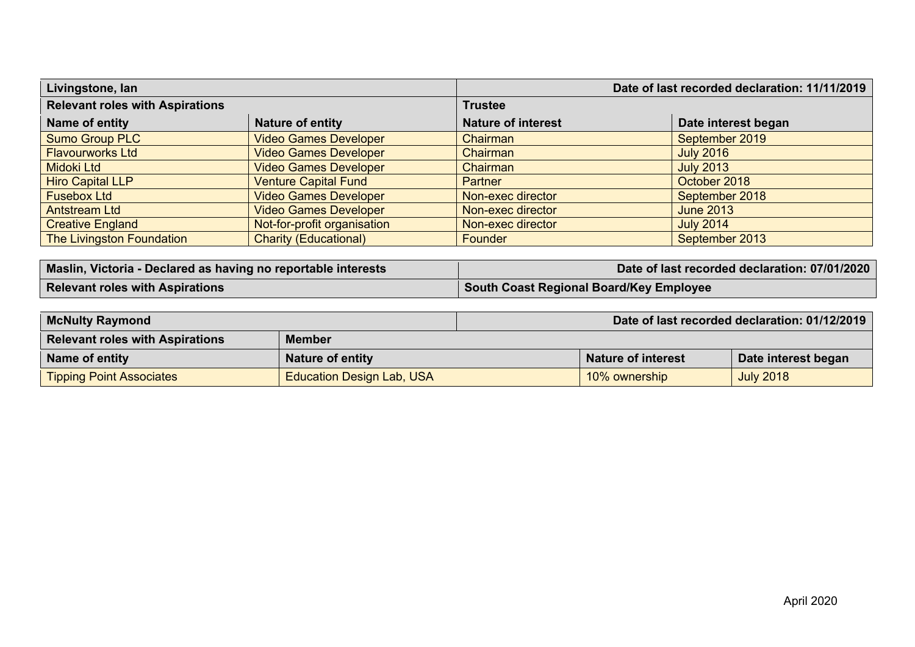| Livingstone, lan                       |                              |                           | Date of last recorded declaration: 11/11/2019 |
|----------------------------------------|------------------------------|---------------------------|-----------------------------------------------|
| <b>Relevant roles with Aspirations</b> |                              | <b>Trustee</b>            |                                               |
| Name of entity                         | <b>Nature of entity</b>      | <b>Nature of interest</b> | Date interest began                           |
| Sumo Group PLC                         | <b>Video Games Developer</b> | Chairman                  | September 2019                                |
| <b>Flavourworks Ltd</b>                | <b>Video Games Developer</b> | Chairman                  | <b>July 2016</b>                              |
| Midoki Ltd                             | <b>Video Games Developer</b> | Chairman                  | <b>July 2013</b>                              |
| <b>Hiro Capital LLP</b>                | <b>Venture Capital Fund</b>  | Partner                   | October 2018                                  |
| Fusebox Ltd                            | <b>Video Games Developer</b> | Non-exec director         | September 2018                                |
| Antstream Ltd                          | <b>Video Games Developer</b> | Non-exec director         | <b>June 2013</b>                              |
| <b>Creative England</b>                | Not-for-profit organisation  | Non-exec director         | <b>July 2014</b>                              |
| The Livingston Foundation              | <b>Charity (Educational)</b> | Founder                   | September 2013                                |

| Maslin, Victoria - Declared as having no reportable interests | Date of last recorded declaration: 07/01/2020 |
|---------------------------------------------------------------|-----------------------------------------------|
| <b>Relevant roles with Aspirations</b>                        | South Coast Regional Board/Key Employee       |

| <b>McNulty Raymond</b>                 |                                  |                           | Date of last recorded declaration: 01/12/2019 |
|----------------------------------------|----------------------------------|---------------------------|-----------------------------------------------|
| <b>Relevant roles with Aspirations</b> | Member                           |                           |                                               |
| Name of entity                         | <b>Nature of entity</b>          | <b>Nature of interest</b> | Date interest began                           |
| Tipping Point Associates               | <b>Education Design Lab, USA</b> | 10% ownership             | <b>July 2018</b>                              |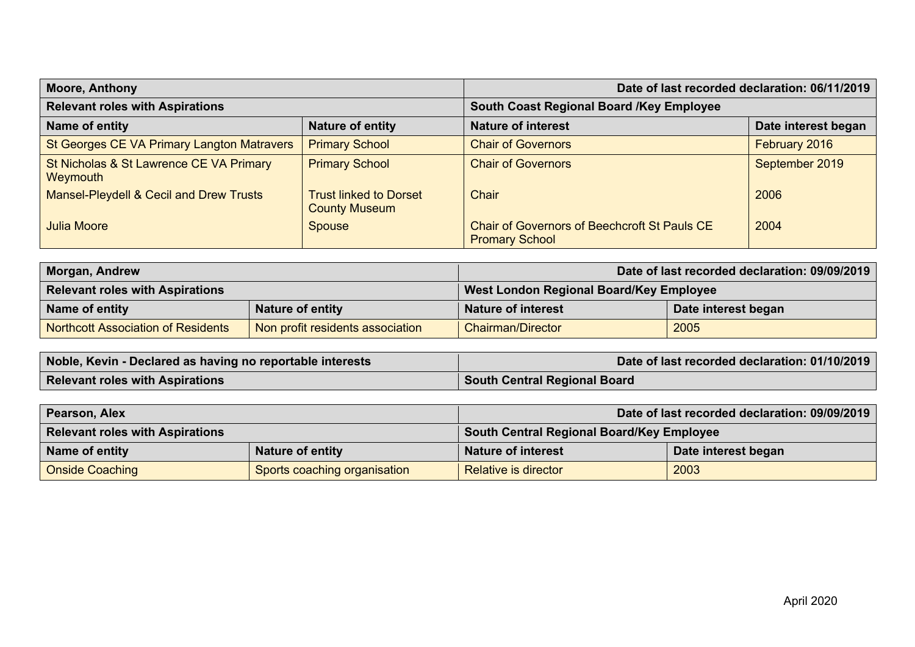| <b>Moore, Anthony</b>                               |                                                       | Date of last recorded declaration: 06/11/2019                                |                     |
|-----------------------------------------------------|-------------------------------------------------------|------------------------------------------------------------------------------|---------------------|
| <b>Relevant roles with Aspirations</b>              |                                                       | <b>South Coast Regional Board /Key Employee</b>                              |                     |
| Name of entity                                      | <b>Nature of entity</b>                               | <b>Nature of interest</b>                                                    | Date interest began |
| St Georges CE VA Primary Langton Matravers          | <b>Primary School</b>                                 | <b>Chair of Governors</b>                                                    | February 2016       |
| St Nicholas & St Lawrence CE VA Primary<br>Weymouth | <b>Primary School</b>                                 | <b>Chair of Governors</b>                                                    | September 2019      |
| <b>Mansel-Pleydell &amp; Cecil and Drew Trusts</b>  | <b>Trust linked to Dorset</b><br><b>County Museum</b> | Chair                                                                        | 2006                |
| <b>Julia Moore</b>                                  | <b>Spouse</b>                                         | <b>Chair of Governors of Beechcroft St Pauls CE</b><br><b>Promary School</b> | 2004                |

| <b>Morgan, Andrew</b>                     |                                  |                                         | Date of last recorded declaration: 09/09/2019 |
|-------------------------------------------|----------------------------------|-----------------------------------------|-----------------------------------------------|
| <b>Relevant roles with Aspirations</b>    |                                  | West London Regional Board/Key Employee |                                               |
| Name of entity                            | <b>Nature of entity</b>          | <b>Nature of interest</b>               | Date interest began                           |
| <b>Northcott Association of Residents</b> | Non profit residents association | <b>Chairman/Director</b>                | 2005                                          |

| Noble, Kevin - Declared as having no reportable interests | Date of last recorded declaration: 01/10/2019 |
|-----------------------------------------------------------|-----------------------------------------------|
| <b>Relevant roles with Aspirations</b>                    | <b>South Central Regional Board</b>           |

| Pearson, Alex                          |                              |                                                  | Date of last recorded declaration: 09/09/2019 |
|----------------------------------------|------------------------------|--------------------------------------------------|-----------------------------------------------|
| <b>Relevant roles with Aspirations</b> |                              | <b>South Central Regional Board/Key Employee</b> |                                               |
| Name of entity                         | <b>Nature of entity</b>      | <b>Nature of interest</b>                        | Date interest began                           |
| <b>Onside Coaching</b>                 | Sports coaching organisation | <b>Relative is director</b>                      | 2003                                          |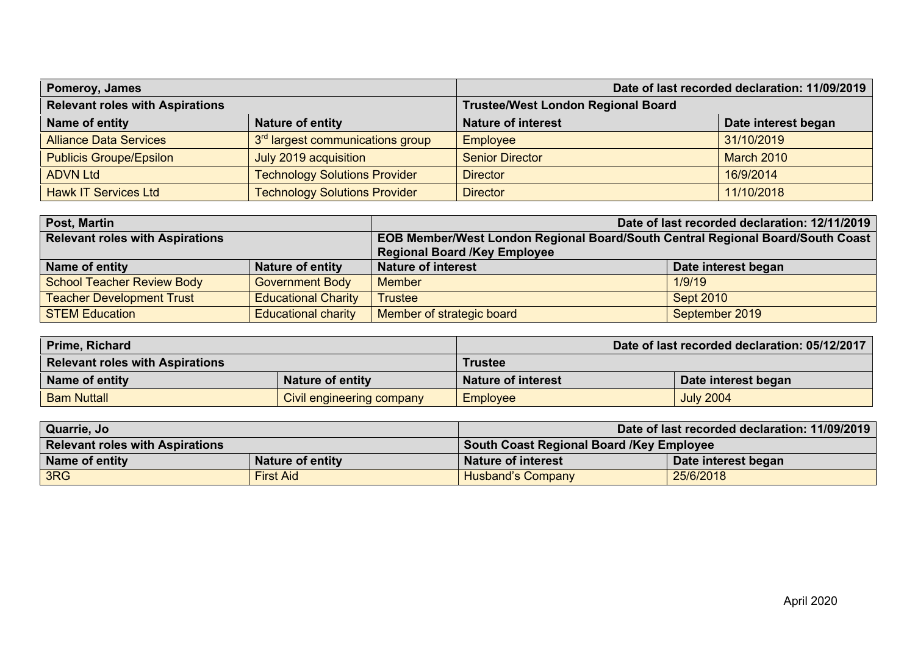| Pomeroy, James                         |                                              |                                           | Date of last recorded declaration: 11/09/2019 |
|----------------------------------------|----------------------------------------------|-------------------------------------------|-----------------------------------------------|
| <b>Relevant roles with Aspirations</b> |                                              | <b>Trustee/West London Regional Board</b> |                                               |
| Name of entity                         | Nature of entity                             | <b>Nature of interest</b>                 | Date interest began                           |
| <b>Alliance Data Services</b>          | 3 <sup>rd</sup> largest communications group | Employee                                  | 31/10/2019                                    |
| <b>Publicis Groupe/Epsilon</b>         | July 2019 acquisition                        | <b>Senior Director</b>                    | <b>March 2010</b>                             |
| <b>ADVN Ltd</b>                        | <b>Technology Solutions Provider</b>         | <b>Director</b>                           | 16/9/2014                                     |
| <b>Hawk IT Services Ltd</b>            | <b>Technology Solutions Provider</b>         | <b>Director</b>                           | 11/10/2018                                    |

| Post, Martin                           |                            |                                                                                | Date of last recorded declaration: 12/11/2019 |
|----------------------------------------|----------------------------|--------------------------------------------------------------------------------|-----------------------------------------------|
| <b>Relevant roles with Aspirations</b> |                            | EOB Member/West London Regional Board/South Central Regional Board/South Coast |                                               |
|                                        |                            | <b>Regional Board /Key Employee</b>                                            |                                               |
| Name of entity                         | Nature of entity           | <b>Nature of interest</b>                                                      | Date interest began                           |
| <b>School Teacher Review Body</b>      | <b>Government Body</b>     | <b>Member</b>                                                                  | 1/9/19                                        |
| <b>Teacher Development Trust</b>       | <b>Educational Charity</b> | <b>Trustee</b>                                                                 | <b>Sept 2010</b>                              |
| <b>STEM Education</b>                  | <b>Educational charity</b> | Member of strategic board                                                      | September 2019                                |

| <b>Prime, Richard</b>                  |                           |                           | Date of last recorded declaration: 05/12/2017 |
|----------------------------------------|---------------------------|---------------------------|-----------------------------------------------|
| <b>Relevant roles with Aspirations</b> |                           | <b>Trustee</b>            |                                               |
| Name of entity                         | <b>Nature of entity</b>   | <b>Nature of interest</b> | Date interest began                           |
| <b>Bam Nuttall</b>                     | Civil engineering company | Employee                  | <b>July 2004</b>                              |

| Quarrie, Jo                            |                         |                                          | Date of last recorded declaration: 11/09/2019 |
|----------------------------------------|-------------------------|------------------------------------------|-----------------------------------------------|
| <b>Relevant roles with Aspirations</b> |                         | South Coast Regional Board /Key Employee |                                               |
| Name of entity                         | <b>Nature of entity</b> | <b>Nature of interest</b>                | Date interest began                           |
| 3RG                                    | <b>First Aid</b>        | <b>Husband's Company</b>                 | 25/6/2018                                     |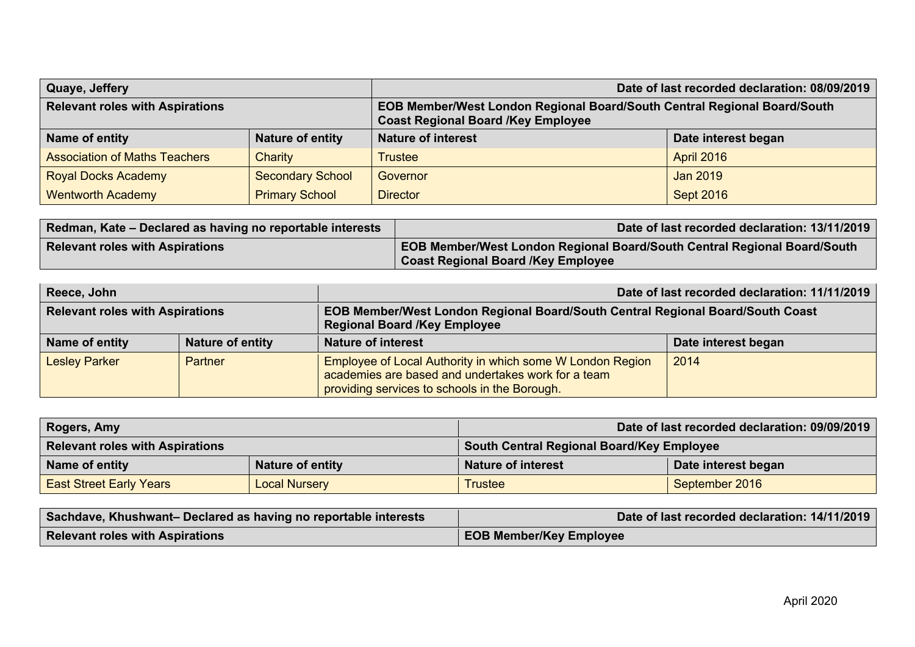| Quaye, Jeffery                         |                         |                                                                                                                       | Date of last recorded declaration: 08/09/2019 |
|----------------------------------------|-------------------------|-----------------------------------------------------------------------------------------------------------------------|-----------------------------------------------|
| <b>Relevant roles with Aspirations</b> |                         | EOB Member/West London Regional Board/South Central Regional Board/South<br><b>Coast Regional Board /Key Employee</b> |                                               |
| Name of entity                         | Nature of entity        | <b>Nature of interest</b>                                                                                             | Date interest began                           |
| <b>Association of Maths Teachers</b>   | Charity                 | <b>Trustee</b>                                                                                                        | <b>April 2016</b>                             |
| <b>Royal Docks Academy</b>             | <b>Secondary School</b> | Governor                                                                                                              | Jan 2019                                      |
| <b>Wentworth Academy</b>               | <b>Primary School</b>   | <b>Director</b>                                                                                                       | <b>Sept 2016</b>                              |

| Redman, Kate – Declared as having no reportable interests | Date of last recorded declaration: 13/11/2019                                                                         |
|-----------------------------------------------------------|-----------------------------------------------------------------------------------------------------------------------|
| <b>Relevant roles with Aspirations</b>                    | EOB Member/West London Regional Board/South Central Regional Board/South<br><b>Coast Regional Board /Key Employee</b> |

| Reece, John                            |                         | Date of last recorded declaration: 11/11/2019                                                                                                                    |                     |
|----------------------------------------|-------------------------|------------------------------------------------------------------------------------------------------------------------------------------------------------------|---------------------|
| <b>Relevant roles with Aspirations</b> |                         | EOB Member/West London Regional Board/South Central Regional Board/South Coast<br><b>Regional Board /Key Employee</b>                                            |                     |
| Name of entity                         | <b>Nature of entity</b> | <b>Nature of interest</b>                                                                                                                                        | Date interest began |
| <b>Lesley Parker</b>                   | Partner                 | Employee of Local Authority in which some W London Region<br>academies are based and undertakes work for a team<br>providing services to schools in the Borough. | 2014                |

| Rogers, Amy                            |                         | Date of last recorded declaration: 09/09/2019    |                     |
|----------------------------------------|-------------------------|--------------------------------------------------|---------------------|
| <b>Relevant roles with Aspirations</b> |                         | <b>South Central Regional Board/Key Employee</b> |                     |
| Name of entity                         | <b>Nature of entity</b> | <b>Nature of interest</b>                        | Date interest began |
| <b>East Street Early Years</b>         | <b>Local Nursery</b>    | Trustee                                          | September 2016      |

| Sachdave, Khushwant- Declared as having no reportable interests | Date of last recorded declaration: 14/11/2019 |
|-----------------------------------------------------------------|-----------------------------------------------|
| <b>Relevant roles with Aspirations</b>                          | <b>EOB Member/Key Employee</b>                |